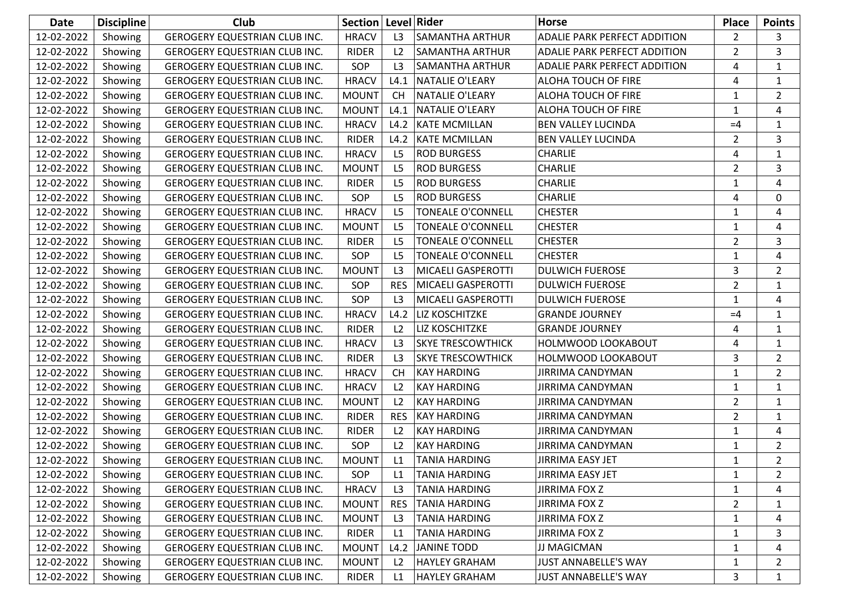| Date       | <b>Discipline</b> | <b>Club</b>                          | Section   Level   Rider |                     |                          | <b>Horse</b>                        | <b>Place</b>   | <b>Points</b>  |
|------------|-------------------|--------------------------------------|-------------------------|---------------------|--------------------------|-------------------------------------|----------------|----------------|
| 12-02-2022 | Showing           | GEROGERY EQUESTRIAN CLUB INC.        | <b>HRACV</b>            | L3                  | <b>SAMANTHA ARTHUR</b>   | <b>ADALIE PARK PERFECT ADDITION</b> | $\overline{2}$ | 3              |
| 12-02-2022 | Showing           | GEROGERY EQUESTRIAN CLUB INC.        | <b>RIDER</b>            | L <sub>2</sub>      | SAMANTHA ARTHUR          | ADALIE PARK PERFECT ADDITION        | $\overline{2}$ | 3              |
| 12-02-2022 | Showing           | GEROGERY EQUESTRIAN CLUB INC.        | SOP                     | L3                  | SAMANTHA ARTHUR          | <b>ADALIE PARK PERFECT ADDITION</b> | 4              | 1              |
| 12-02-2022 | Showing           | <b>GEROGERY EQUESTRIAN CLUB INC.</b> | <b>HRACV</b>            | L4.1                | <b>NATALIE O'LEARY</b>   | ALOHA TOUCH OF FIRE                 | $\overline{4}$ | 1              |
| 12-02-2022 | Showing           | GEROGERY EQUESTRIAN CLUB INC.        | <b>MOUNT</b>            | <b>CH</b>           | <b>NATALIE O'LEARY</b>   | ALOHA TOUCH OF FIRE                 | $\mathbf{1}$   | $\overline{2}$ |
| 12-02-2022 | Showing           | GEROGERY EQUESTRIAN CLUB INC.        | <b>MOUNT</b>            | L4.1                | <b>NATALIE O'LEARY</b>   | ALOHA TOUCH OF FIRE                 | $\mathbf{1}$   | 4              |
| 12-02-2022 | Showing           | GEROGERY EQUESTRIAN CLUB INC.        | <b>HRACV</b>            | L4.2                | <b>KATE MCMILLAN</b>     | BEN VALLEY LUCINDA                  | $=4$           | $\mathbf{1}$   |
| 12-02-2022 | Showing           | GEROGERY EQUESTRIAN CLUB INC.        | <b>RIDER</b>            | L4.2                | <b>KATE MCMILLAN</b>     | <b>BEN VALLEY LUCINDA</b>           | $\overline{2}$ | 3              |
| 12-02-2022 | Showing           | GEROGERY EQUESTRIAN CLUB INC.        | <b>HRACV</b>            | L <sub>5</sub>      | <b>ROD BURGESS</b>       | <b>CHARLIE</b>                      | 4              | $\mathbf{1}$   |
| 12-02-2022 | Showing           | GEROGERY EQUESTRIAN CLUB INC.        | <b>MOUNT</b>            | L5                  | <b>ROD BURGESS</b>       | <b>CHARLIE</b>                      | $\overline{2}$ | 3              |
| 12-02-2022 | Showing           | GEROGERY EQUESTRIAN CLUB INC.        | <b>RIDER</b>            | L <sub>5</sub>      | <b>ROD BURGESS</b>       | CHARLIE                             | $\mathbf{1}$   | 4              |
| 12-02-2022 | Showing           | GEROGERY EQUESTRIAN CLUB INC.        | SOP                     | L <sub>5</sub>      | <b>ROD BURGESS</b>       | <b>CHARLIE</b>                      | 4              | $\mathbf 0$    |
| 12-02-2022 | Showing           | GEROGERY EQUESTRIAN CLUB INC.        | <b>HRACV</b>            | L <sub>5</sub>      | TONEALE O'CONNELL        | <b>CHESTER</b>                      | $\mathbf{1}$   | 4              |
| 12-02-2022 | Showing           | GEROGERY EQUESTRIAN CLUB INC.        | <b>MOUNT</b>            | L <sub>5</sub>      | <b>TONEALE O'CONNELL</b> | <b>CHESTER</b>                      | $\mathbf{1}$   | 4              |
| 12-02-2022 | Showing           | GEROGERY EQUESTRIAN CLUB INC.        | <b>RIDER</b>            | L <sub>5</sub>      | TONEALE O'CONNELL        | <b>CHESTER</b>                      | $\overline{2}$ | 3              |
| 12-02-2022 | Showing           | GEROGERY EQUESTRIAN CLUB INC.        | SOP                     | L <sub>5</sub>      | <b>TONEALE O'CONNELL</b> | <b>CHESTER</b>                      | $\mathbf{1}$   | 4              |
| 12-02-2022 | Showing           | GEROGERY EQUESTRIAN CLUB INC.        | <b>MOUNT</b>            | L3                  | MICAELI GASPEROTTI       | <b>DULWICH FUEROSE</b>              | 3              | $\overline{2}$ |
| 12-02-2022 | Showing           | GEROGERY EQUESTRIAN CLUB INC.        | SOP                     | <b>RES</b>          | MICAELI GASPEROTTI       | <b>DULWICH FUEROSE</b>              | $\overline{2}$ | 1              |
| 12-02-2022 | Showing           | GEROGERY EQUESTRIAN CLUB INC.        | SOP                     | L <sub>3</sub>      | MICAELI GASPEROTTI       | <b>DULWICH FUEROSE</b>              | $\mathbf{1}$   | 4              |
| 12-02-2022 | Showing           | GEROGERY EQUESTRIAN CLUB INC.        | <b>HRACV</b>            | L4.2                | <b>LIZ KOSCHITZKE</b>    | <b>GRANDE JOURNEY</b>               | $=4$           | 1              |
| 12-02-2022 | Showing           | GEROGERY EQUESTRIAN CLUB INC.        | <b>RIDER</b>            | L2                  | LIZ KOSCHITZKE           | <b>GRANDE JOURNEY</b>               | 4              | 1              |
| 12-02-2022 | Showing           | GEROGERY EQUESTRIAN CLUB INC.        | <b>HRACV</b>            | L3                  | <b>SKYE TRESCOWTHICK</b> | HOLMWOOD LOOKABOUT                  | $\overline{4}$ | $\mathbf{1}$   |
| 12-02-2022 | Showing           | GEROGERY EQUESTRIAN CLUB INC.        | <b>RIDER</b>            | L3                  | <b>SKYE TRESCOWTHICK</b> | HOLMWOOD LOOKABOUT                  | 3              | $\overline{2}$ |
| 12-02-2022 | Showing           | GEROGERY EQUESTRIAN CLUB INC.        | <b>HRACV</b>            | <b>CH</b>           | <b>KAY HARDING</b>       | <b>JIRRIMA CANDYMAN</b>             | $\mathbf{1}$   | $\overline{2}$ |
| 12-02-2022 | Showing           | <b>GEROGERY EQUESTRIAN CLUB INC.</b> | <b>HRACV</b>            | L <sub>2</sub>      | <b>KAY HARDING</b>       | JIRRIMA CANDYMAN                    | $\mathbf{1}$   | 1              |
| 12-02-2022 | Showing           | GEROGERY EQUESTRIAN CLUB INC.        | <b>MOUNT</b>            | L2                  | <b>KAY HARDING</b>       | <b>JIRRIMA CANDYMAN</b>             | $\overline{2}$ | $\mathbf{1}$   |
| 12-02-2022 | Showing           | GEROGERY EQUESTRIAN CLUB INC.        | <b>RIDER</b>            | <b>RES</b>          | <b>KAY HARDING</b>       | <b>JIRRIMA CANDYMAN</b>             | $\overline{2}$ | $\mathbf{1}$   |
| 12-02-2022 | Showing           | GEROGERY EQUESTRIAN CLUB INC.        | <b>RIDER</b>            | L <sub>2</sub>      | <b>KAY HARDING</b>       | <b>JIRRIMA CANDYMAN</b>             | $\mathbf{1}$   | 4              |
| 12-02-2022 | Showing           | <b>GEROGERY EQUESTRIAN CLUB INC.</b> | SOP                     | L <sub>2</sub>      | <b>KAY HARDING</b>       | <b>JIRRIMA CANDYMAN</b>             | $\mathbf{1}$   | $\overline{2}$ |
| 12-02-2022 | Showing           | GEROGERY EQUESTRIAN CLUB INC.        | <b>MOUNT</b>            | L1                  | <b>TANIA HARDING</b>     | JIRRIMA EASY JET                    | $\mathbf{1}$   | $\overline{2}$ |
| 12-02-2022 | Showing           | <b>GEROGERY EQUESTRIAN CLUB INC.</b> | SOP                     | $\lfloor 1 \rfloor$ | <b>TANIA HARDING</b>     | <b>JIRRIMA EASY JET</b>             | $\mathbf{1}$   | $\overline{2}$ |
| 12-02-2022 | Showing           | GEROGERY EQUESTRIAN CLUB INC.        | <b>HRACV</b>            | L3                  | TANIA HARDING            | <b>JIRRIMA FOX Z</b>                | $\mathbf{1}$   | 4              |
| 12-02-2022 | Showing           | GEROGERY EQUESTRIAN CLUB INC.        | <b>MOUNT</b>            | <b>RES</b>          | <b>TANIA HARDING</b>     | <b>JIRRIMA FOX Z</b>                | $\overline{2}$ | 1              |
| 12-02-2022 | Showing           | GEROGERY EQUESTRIAN CLUB INC.        | <b>MOUNT</b>            | L <sub>3</sub>      | <b>TANIA HARDING</b>     | <b>JIRRIMA FOX Z</b>                | $\mathbf{1}$   | 4              |
| 12-02-2022 | Showing           | GEROGERY EQUESTRIAN CLUB INC.        | <b>RIDER</b>            | L1                  | <b>TANIA HARDING</b>     | <b>JIRRIMA FOX Z</b>                | $\mathbf{1}$   | 3              |
| 12-02-2022 | Showing           | GEROGERY EQUESTRIAN CLUB INC.        | <b>MOUNT</b>            | L4.2                | <b>JANINE TODD</b>       | JJ MAGICMAN                         | 1              | 4              |
| 12-02-2022 | Showing           | GEROGERY EQUESTRIAN CLUB INC.        | <b>MOUNT</b>            | L2                  | <b>HAYLEY GRAHAM</b>     | <b>JUST ANNABELLE'S WAY</b>         | 1              | 2              |
| 12-02-2022 | Showing           | GEROGERY EQUESTRIAN CLUB INC.        | RIDER                   | L1                  | <b>HAYLEY GRAHAM</b>     | <b>JUST ANNABELLE'S WAY</b>         | 3              | 1              |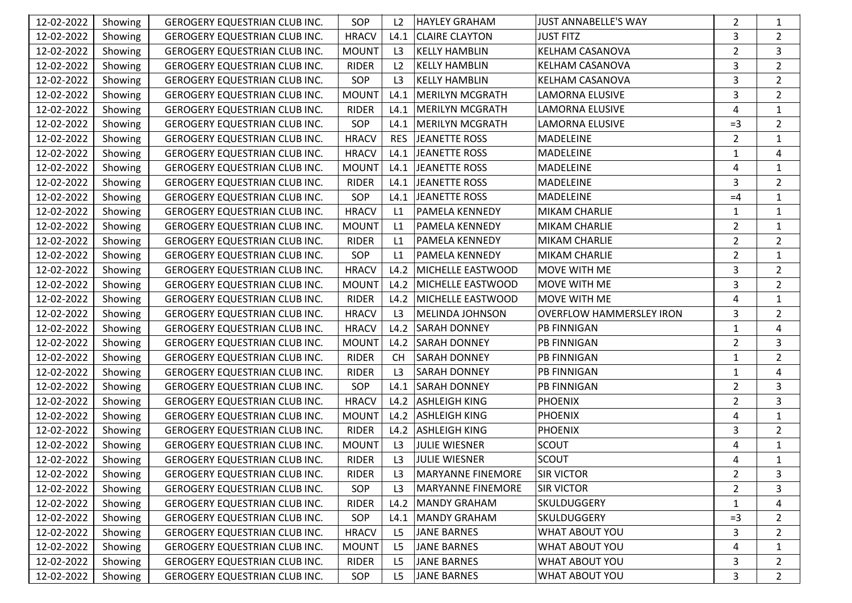| 12-02-2022 | Showing | GEROGERY EQUESTRIAN CLUB INC.        | SOP          | L <sub>2</sub> | HAYLEY GRAHAM            | <b>JUST ANNABELLE'S WAY</b>     | $\overline{2}$ | 1              |
|------------|---------|--------------------------------------|--------------|----------------|--------------------------|---------------------------------|----------------|----------------|
| 12-02-2022 | Showing | GEROGERY EQUESTRIAN CLUB INC.        | <b>HRACV</b> | L4.1           | <b>CLAIRE CLAYTON</b>    | <b>JUST FITZ</b>                | 3              | $\overline{2}$ |
| 12-02-2022 | Showing | GEROGERY EQUESTRIAN CLUB INC.        | <b>MOUNT</b> | L3             | <b>KELLY HAMBLIN</b>     | KELHAM CASANOVA                 | $\overline{2}$ | 3              |
| 12-02-2022 | Showing | GEROGERY EQUESTRIAN CLUB INC.        | <b>RIDER</b> | L <sub>2</sub> | <b>KELLY HAMBLIN</b>     | KELHAM CASANOVA                 | 3              | $\overline{2}$ |
| 12-02-2022 | Showing | GEROGERY EQUESTRIAN CLUB INC.        | SOP          | L <sub>3</sub> | <b>KELLY HAMBLIN</b>     | KELHAM CASANOVA                 | 3              | $\overline{2}$ |
| 12-02-2022 | Showing | GEROGERY EQUESTRIAN CLUB INC.        | <b>MOUNT</b> | L4.1           | MERILYN MCGRATH          | LAMORNA ELUSIVE                 | 3              | $\overline{2}$ |
| 12-02-2022 | Showing | GEROGERY EQUESTRIAN CLUB INC.        | <b>RIDER</b> | L4.1           | MERILYN MCGRATH          | LAMORNA ELUSIVE                 | 4              | $\mathbf{1}$   |
| 12-02-2022 | Showing | GEROGERY EQUESTRIAN CLUB INC.        | SOP          | L4.1           | MERILYN MCGRATH          | <b>LAMORNA ELUSIVE</b>          | $=3$           | $\overline{2}$ |
| 12-02-2022 | Showing | GEROGERY EQUESTRIAN CLUB INC.        | <b>HRACV</b> | <b>RES</b>     | JEANETTE ROSS            | MADELEINE                       | $\overline{2}$ | 1              |
| 12-02-2022 | Showing | <b>GEROGERY EQUESTRIAN CLUB INC.</b> | <b>HRACV</b> | L4.1           | <b>JEANETTE ROSS</b>     | MADELEINE                       | $\mathbf{1}$   | 4              |
| 12-02-2022 | Showing | GEROGERY EQUESTRIAN CLUB INC.        | <b>MOUNT</b> |                | L4.1 JEANETTE ROSS       | MADELEINE                       | 4              | 1              |
| 12-02-2022 | Showing | GEROGERY EQUESTRIAN CLUB INC.        | <b>RIDER</b> | L4.1           | JEANETTE ROSS            | <b>MADELEINE</b>                | 3              | $\overline{2}$ |
| 12-02-2022 | Showing | GEROGERY EQUESTRIAN CLUB INC.        | SOP          | L4.1           | JEANETTE ROSS            | MADELEINE                       | $=4$           | $\mathbf{1}$   |
| 12-02-2022 | Showing | GEROGERY EQUESTRIAN CLUB INC.        | <b>HRACV</b> | L1             | <b>PAMELA KENNEDY</b>    | <b>MIKAM CHARLIE</b>            | $\mathbf{1}$   | 1              |
| 12-02-2022 | Showing | <b>GEROGERY EQUESTRIAN CLUB INC.</b> | <b>MOUNT</b> | L1             | <b>PAMELA KENNEDY</b>    | <b>MIKAM CHARLIE</b>            | $\overline{2}$ | 1              |
| 12-02-2022 | Showing | GEROGERY EQUESTRIAN CLUB INC.        | <b>RIDER</b> | L1             | <b>PAMELA KENNEDY</b>    | MIKAM CHARLIE                   | $\overline{2}$ | $\overline{2}$ |
| 12-02-2022 | Showing | GEROGERY EQUESTRIAN CLUB INC.        | SOP          | L1             | <b>PAMELA KENNEDY</b>    | <b>MIKAM CHARLIE</b>            | $\overline{2}$ | $\mathbf{1}$   |
| 12-02-2022 | Showing | GEROGERY EQUESTRIAN CLUB INC.        | <b>HRACV</b> | L4.2           | MICHELLE EASTWOOD        | MOVE WITH ME                    | 3              | $\overline{2}$ |
| 12-02-2022 | Showing | GEROGERY EQUESTRIAN CLUB INC.        | <b>MOUNT</b> | L4.2           | MICHELLE EASTWOOD        | MOVE WITH ME                    | 3              | $\overline{2}$ |
| 12-02-2022 | Showing | GEROGERY EQUESTRIAN CLUB INC.        | <b>RIDER</b> | L4.2           | MICHELLE EASTWOOD        | MOVE WITH ME                    | $\overline{4}$ | 1              |
| 12-02-2022 | Showing | GEROGERY EQUESTRIAN CLUB INC.        | <b>HRACV</b> | L3             | MELINDA JOHNSON          | <b>OVERFLOW HAMMERSLEY IRON</b> | 3              | $\overline{2}$ |
| 12-02-2022 | Showing | GEROGERY EQUESTRIAN CLUB INC.        | <b>HRACV</b> | L4.2           | <b>SARAH DONNEY</b>      | <b>PB FINNIGAN</b>              | $\mathbf{1}$   | 4              |
| 12-02-2022 | Showing | GEROGERY EQUESTRIAN CLUB INC.        | <b>MOUNT</b> | L4.2           | <b>SARAH DONNEY</b>      | <b>PB FINNIGAN</b>              | $\overline{2}$ | $\overline{3}$ |
| 12-02-2022 | Showing | GEROGERY EQUESTRIAN CLUB INC.        | <b>RIDER</b> | <b>CH</b>      | <b>SARAH DONNEY</b>      | <b>PB FINNIGAN</b>              | $\mathbf{1}$   | $\overline{2}$ |
| 12-02-2022 | Showing | GEROGERY EQUESTRIAN CLUB INC.        | <b>RIDER</b> | L3             | <b>SARAH DONNEY</b>      | <b>PB FINNIGAN</b>              | $\mathbf{1}$   | 4              |
| 12-02-2022 | Showing | GEROGERY EQUESTRIAN CLUB INC.        | SOP          | L4.1           | <b>SARAH DONNEY</b>      | <b>PB FINNIGAN</b>              | $\overline{2}$ | 3              |
| 12-02-2022 | Showing | GEROGERY EQUESTRIAN CLUB INC.        | <b>HRACV</b> |                | L4.2 ASHLEIGH KING       | <b>PHOENIX</b>                  | $\overline{2}$ | 3              |
| 12-02-2022 | Showing | GEROGERY EQUESTRIAN CLUB INC.        | <b>MOUNT</b> |                | L4.2 ASHLEIGH KING       | <b>PHOENIX</b>                  | 4              | $\mathbf{1}$   |
| 12-02-2022 | Showing | GEROGERY EQUESTRIAN CLUB INC.        | <b>RIDER</b> | L4.2           | <b>ASHLEIGH KING</b>     | <b>PHOENIX</b>                  | 3              | $\overline{2}$ |
| 12-02-2022 | Showing | GEROGERY EQUESTRIAN CLUB INC.        | <b>MOUNT</b> | L3             | JULIE WIESNER            | <b>SCOUT</b>                    | 4              | 1              |
| 12-02-2022 | Showing | GEROGERY EQUESTRIAN CLUB INC.        | <b>RIDER</b> | L3             | <b>JULIE WIESNER</b>     | <b>SCOUT</b>                    | 4              | $\mathbf{1}$   |
| 12-02-2022 | Showing | <b>GEROGERY EQUESTRIAN CLUB INC.</b> | <b>RIDER</b> | L <sub>3</sub> | MARYANNE FINEMORE        | <b>SIR VICTOR</b>               | $\overline{2}$ | 3              |
| 12-02-2022 | Showing | <b>GEROGERY EQUESTRIAN CLUB INC.</b> | SOP          | L3             | <b>MARYANNE FINEMORE</b> | <b>SIR VICTOR</b>               | $\overline{2}$ | 3              |
| 12-02-2022 | Showing | GEROGERY EQUESTRIAN CLUB INC.        | <b>RIDER</b> | L4.2           | MANDY GRAHAM             | SKULDUGGERY                     | $\mathbf{1}$   | 4              |
| 12-02-2022 | Showing | GEROGERY EQUESTRIAN CLUB INC.        | SOP          | L4.1           | MANDY GRAHAM             | SKULDUGGERY                     | $=3$           | 2              |
| 12-02-2022 | Showing | GEROGERY EQUESTRIAN CLUB INC.        | <b>HRACV</b> | L <sub>5</sub> | <b>JANE BARNES</b>       | WHAT ABOUT YOU                  | 3              | 2              |
| 12-02-2022 | Showing | <b>GEROGERY EQUESTRIAN CLUB INC.</b> | <b>MOUNT</b> | L <sub>5</sub> | <b>JANE BARNES</b>       | <b>WHAT ABOUT YOU</b>           | 4              | 1              |
| 12-02-2022 | Showing | GEROGERY EQUESTRIAN CLUB INC.        | <b>RIDER</b> | L <sub>5</sub> | <b>JANE BARNES</b>       | WHAT ABOUT YOU                  | 3              | 2              |
| 12-02-2022 | Showing | GEROGERY EQUESTRIAN CLUB INC.        | SOP          | L <sub>5</sub> | <b>JANE BARNES</b>       | WHAT ABOUT YOU                  | 3              | 2              |